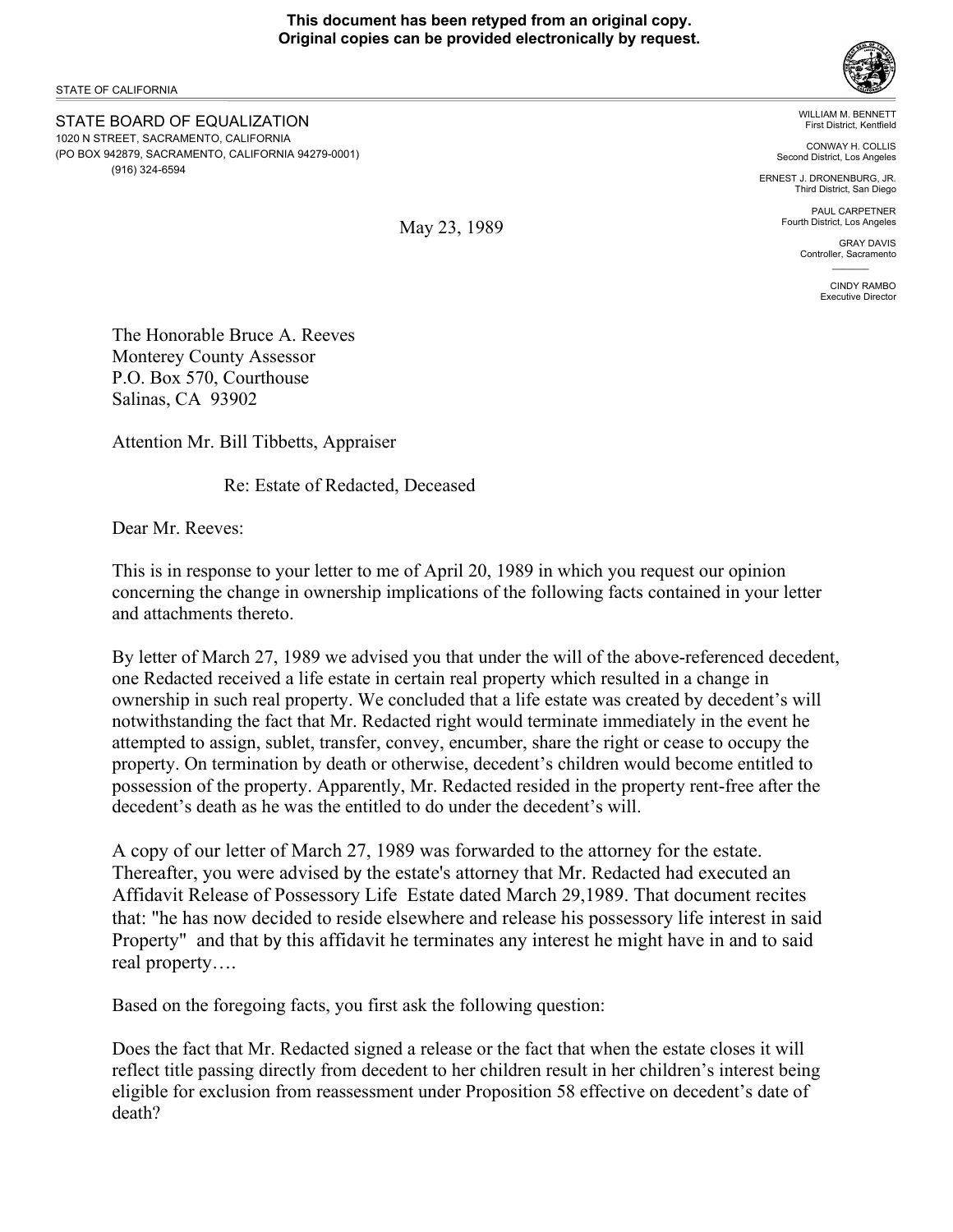**This document has been retyped from an original copy. Original copies can be provided electronically by request.**

STATE OF CALIFORNIA

STATE BOARD OF EQUALIZATION 1020 N STREET, SACRAMENTO, CALIFORNIA (PO BOX 942879, SACRAMENTO, CALIFORNIA 94279-0001) (916) 324-6594

May 23, 1989

WILLIAM M. BENNETT First District, Kentfield

CONWAY H. COLLIS Second District, Los Angeles

ERNEST J. DRONENBURG, JR. Third District, San Diego

> PAUL CARPETNER Fourth District, Los Angeles

> > GRAY DAVIS Controller, Sacramento  $\mathcal{L}=\mathcal{L}$

> > > CINDY RAMBO Executive Director

The Honorable Bruce A. Reeves Monterey County Assessor P.O. Box 570, Courthouse Salinas, CA 93902

Attention Mr. Bill Tibbetts, Appraiser

Re: Estate of Redacted, Deceased

Dear Mr. Reeves:

This is in response to your letter to me of April 20, 1989 in which you request our opinion concerning the change in ownership implications of the following facts contained in your letter and attachments thereto.

By letter of March 27, 1989 we advised you that under the will of the above-referenced decedent, one Redacted received a life estate in certain real property which resulted in a change in ownership in such real property. We concluded that a life estate was created by decedent's will notwithstanding the fact that Mr. Redacted right would terminate immediately in the event he attempted to assign, sublet, transfer, convey, encumber, share the right or cease to occupy the property. On termination by death or otherwise, decedent's children would become entitled to possession of the property. Apparently, Mr. Redacted resided in the property rent-free after the decedent's death as he was the entitled to do under the decedent's will.

A copy of our letter of March 27, 1989 was forwarded to the attorney for the estate. Thereafter, you were advised by the estate's attorney that Mr. Redacted had executed an Affidavit Release of Possessory Life Estate dated March 29,1989. That document recites that: "he has now decided to reside elsewhere and release his possessory life interest in said Property" and that by this affidavit he terminates any interest he might have in and to said real property….

Based on the foregoing facts, you first ask the following question:

Does the fact that Mr. Redacted signed a release or the fact that when the estate closes it will reflect title passing directly from decedent to her children result in her children's interest being eligible for exclusion from reassessment under Proposition 58 effective on decedent's date of death?

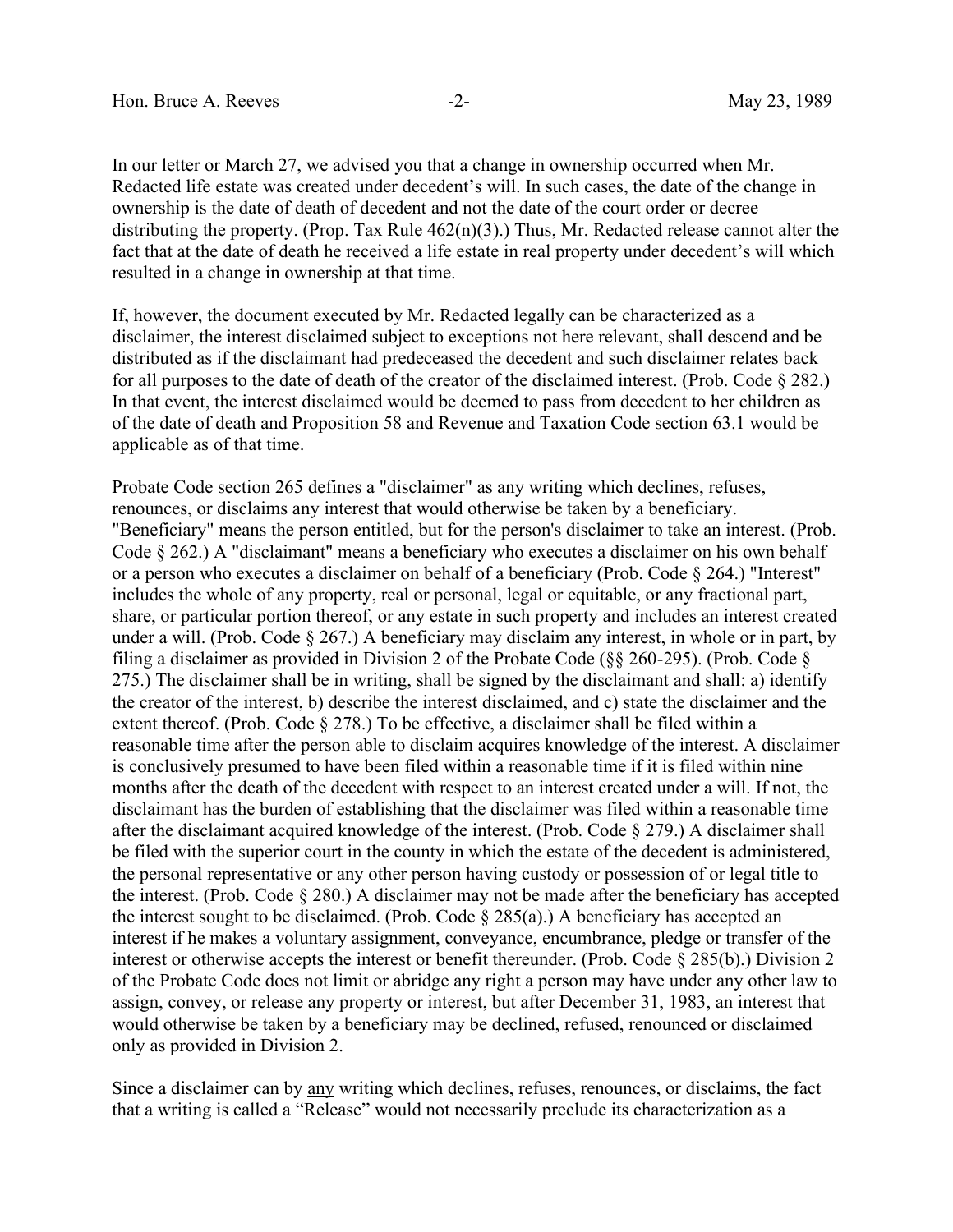In our letter or March 27, we advised you that a change in ownership occurred when Mr. Redacted life estate was created under decedent's will. In such cases, the date of the change in ownership is the date of death of decedent and not the date of the court order or decree distributing the property. (Prop. Tax Rule 462(n)(3).) Thus, Mr. Redacted release cannot alter the fact that at the date of death he received a life estate in real property under decedent's will which resulted in a change in ownership at that time.

If, however, the document executed by Mr. Redacted legally can be characterized as a disclaimer, the interest disclaimed subject to exceptions not here relevant, shall descend and be distributed as if the disclaimant had predeceased the decedent and such disclaimer relates back for all purposes to the date of death of the creator of the disclaimed interest. (Prob. Code  $\S 282$ .) In that event, the interest disclaimed would be deemed to pass from decedent to her children as of the date of death and Proposition 58 and Revenue and Taxation Code section 63.1 would be applicable as of that time.

Probate Code section 265 defines a "disclaimer" as any writing which declines, refuses, renounces, or disclaims any interest that would otherwise be taken by a beneficiary. "Beneficiary" means the person entitled, but for the person's disclaimer to take an interest. (Prob. Code § 262.) A "disclaimant" means a beneficiary who executes a disclaimer on his own behalf or a person who executes a disclaimer on behalf of a beneficiary (Prob. Code § 264.) "Interest" includes the whole of any property, real or personal, legal or equitable, or any fractional part, share, or particular portion thereof, or any estate in such property and includes an interest created under a will. (Prob. Code § 267.) A beneficiary may disclaim any interest, in whole or in part, by filing a disclaimer as provided in Division 2 of the Probate Code (§§ 260-295). (Prob. Code § 275.) The disclaimer shall be in writing, shall be signed by the disclaimant and shall: a) identify the creator of the interest, b) describe the interest disclaimed, and c) state the disclaimer and the extent thereof. (Prob. Code § 278.) To be effective, a disclaimer shall be filed within a reasonable time after the person able to disclaim acquires knowledge of the interest. A disclaimer is conclusively presumed to have been filed within a reasonable time if it is filed within nine months after the death of the decedent with respect to an interest created under a will. If not, the disclaimant has the burden of establishing that the disclaimer was filed within a reasonable time after the disclaimant acquired knowledge of the interest. (Prob. Code § 279.) A disclaimer shall be filed with the superior court in the county in which the estate of the decedent is administered, the personal representative or any other person having custody or possession of or legal title to the interest. (Prob. Code § 280.) A disclaimer may not be made after the beneficiary has accepted the interest sought to be disclaimed. (Prob. Code  $\S 285(a)$ .) A beneficiary has accepted an interest if he makes a voluntary assignment, conveyance, encumbrance, pledge or transfer of the interest or otherwise accepts the interest or benefit thereunder. (Prob. Code § 285(b).) Division 2 of the Probate Code does not limit or abridge any right a person may have under any other law to assign, convey, or release any property or interest, but after December 31, 1983, an interest that would otherwise be taken by a beneficiary may be declined, refused, renounced or disclaimed only as provided in Division 2.

Since a disclaimer can by any writing which declines, refuses, renounces, or disclaims, the fact that a writing is called a "Release" would not necessarily preclude its characterization as a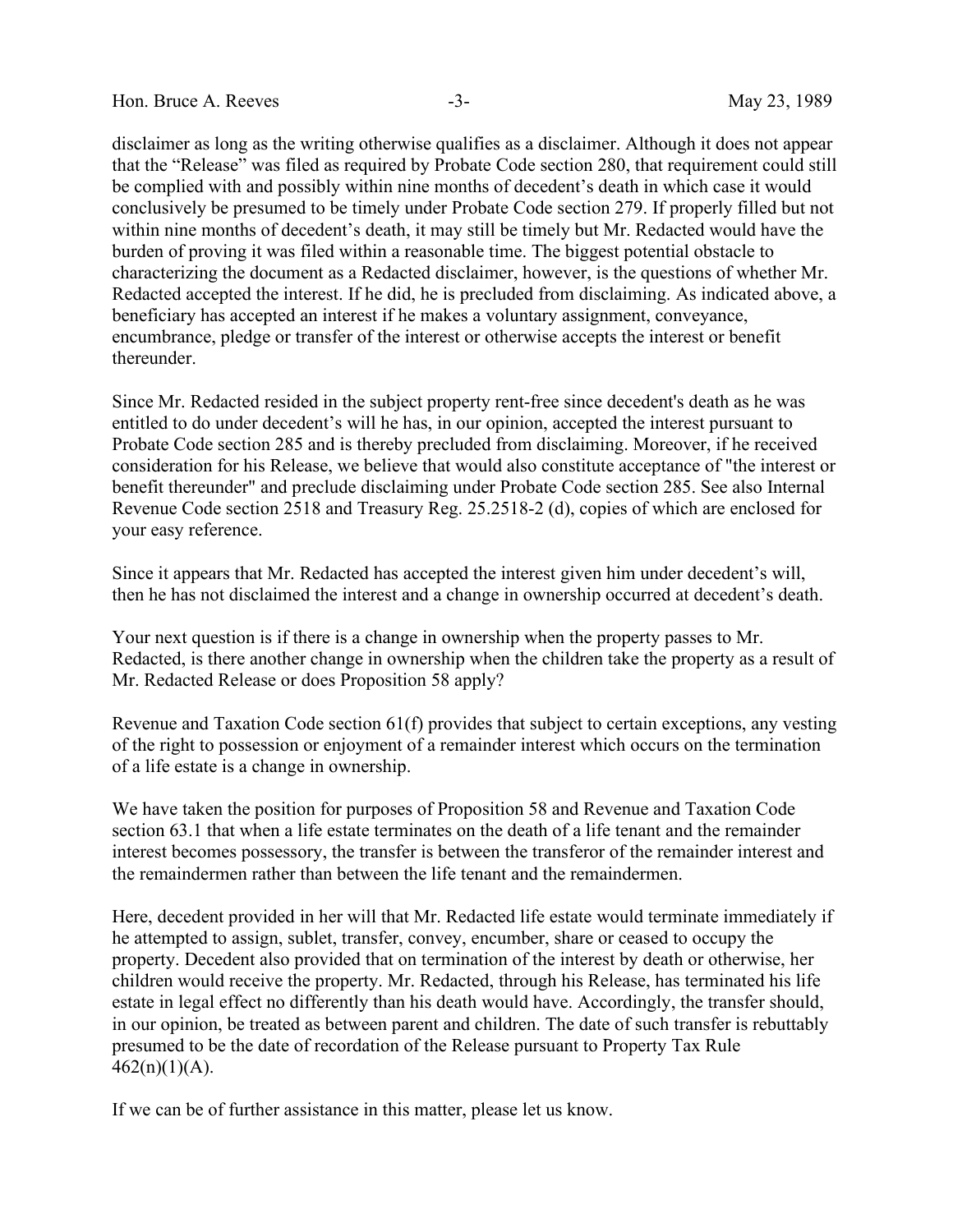disclaimer as long as the writing otherwise qualifies as a disclaimer. Although it does not appear that the "Release" was filed as required by Probate Code section 280, that requirement could still be complied with and possibly within nine months of decedent's death in which case it would conclusively be presumed to be timely under Probate Code section 279. If properly filled but not within nine months of decedent's death, it may still be timely but Mr. Redacted would have the burden of proving it was filed within a reasonable time. The biggest potential obstacle to characterizing the document as a Redacted disclaimer, however, is the questions of whether Mr. Redacted accepted the interest. If he did, he is precluded from disclaiming. As indicated above, a beneficiary has accepted an interest if he makes a voluntary assignment, conveyance, encumbrance, pledge or transfer of the interest or otherwise accepts the interest or benefit thereunder.

Since Mr. Redacted resided in the subject property rent-free since decedent's death as he was entitled to do under decedent's will he has, in our opinion, accepted the interest pursuant to Probate Code section 285 and is thereby precluded from disclaiming. Moreover, if he received consideration for his Release, we believe that would also constitute acceptance of "the interest or benefit thereunder" and preclude disclaiming under Probate Code section 285. See also Internal Revenue Code section 2518 and Treasury Reg. 25.2518-2 (d), copies of which are enclosed for your easy reference.

Since it appears that Mr. Redacted has accepted the interest given him under decedent's will, then he has not disclaimed the interest and a change in ownership occurred at decedent's death.

Your next question is if there is a change in ownership when the property passes to Mr. Redacted, is there another change in ownership when the children take the property as a result of Mr. Redacted Release or does Proposition 58 apply?

Revenue and Taxation Code section 61(f) provides that subject to certain exceptions, any vesting of the right to possession or enjoyment of a remainder interest which occurs on the termination of a life estate is a change in ownership.

We have taken the position for purposes of Proposition 58 and Revenue and Taxation Code section 63.1 that when a life estate terminates on the death of a life tenant and the remainder interest becomes possessory, the transfer is between the transferor of the remainder interest and the remaindermen rather than between the life tenant and the remaindermen.

Here, decedent provided in her will that Mr. Redacted life estate would terminate immediately if he attempted to assign, sublet, transfer, convey, encumber, share or ceased to occupy the property. Decedent also provided that on termination of the interest by death or otherwise, her children would receive the property. Mr. Redacted, through his Release, has terminated his life estate in legal effect no differently than his death would have. Accordingly, the transfer should, in our opinion, be treated as between parent and children. The date of such transfer is rebuttably presumed to be the date of recordation of the Release pursuant to Property Tax Rule  $462(n)(1)(A)$ .

If we can be of further assistance in this matter, please let us know.